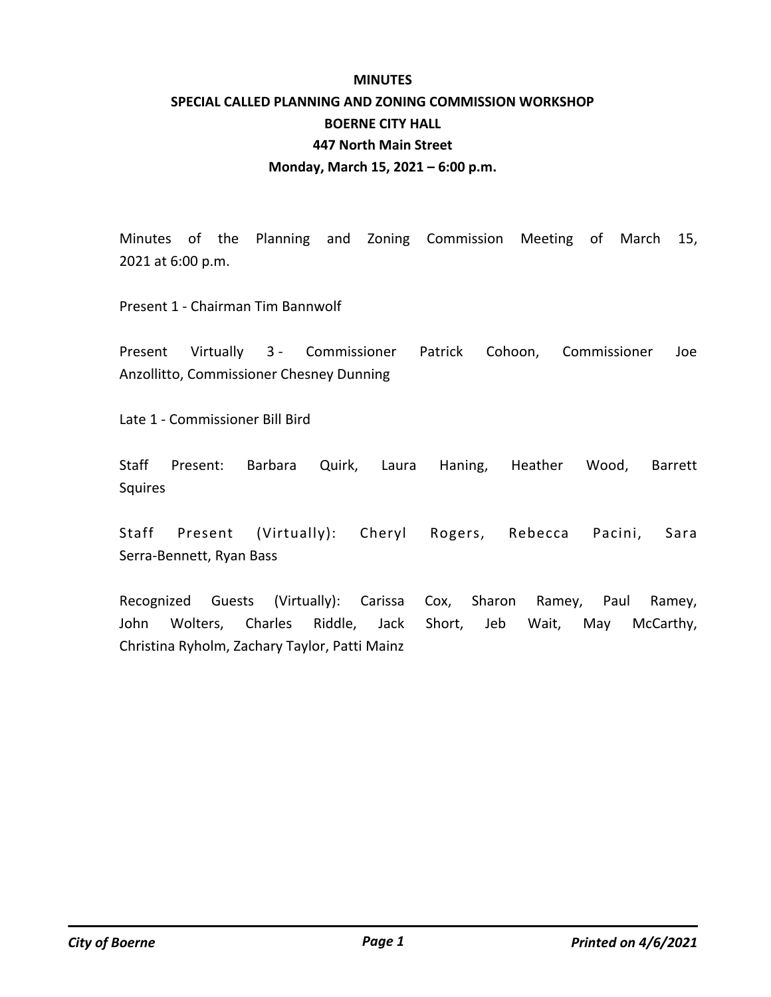#### **MINUTES**

# **SPECIAL CALLED PLANNING AND ZONING COMMISSION WORKSHOP BOERNE CITY HALL 447 North Main Street Monday, March 15, 2021 – 6:00 p.m.**

Minutes of the Planning and Zoning Commission Meeting of March 15, 2021 at 6:00 p.m.

Present 1 - Chairman Tim Bannwolf

Present Virtually 3 - Commissioner Patrick Cohoon, Commissioner Joe Anzollitto, Commissioner Chesney Dunning

Late 1 - Commissioner Bill Bird

Staff Present: Barbara Quirk, Laura Haning, Heather Wood, Barrett Squires

Staff Present (Virtually): Cheryl Rogers, Rebecca Pacini, Sara Serra-Bennett, Ryan Bass

Recognized Guests (Virtually): Carissa Cox, Sharon Ramey, Paul Ramey, John Wolters, Charles Riddle, Jack Short, Jeb Wait, May McCarthy, Christina Ryholm, Zachary Taylor, Patti Mainz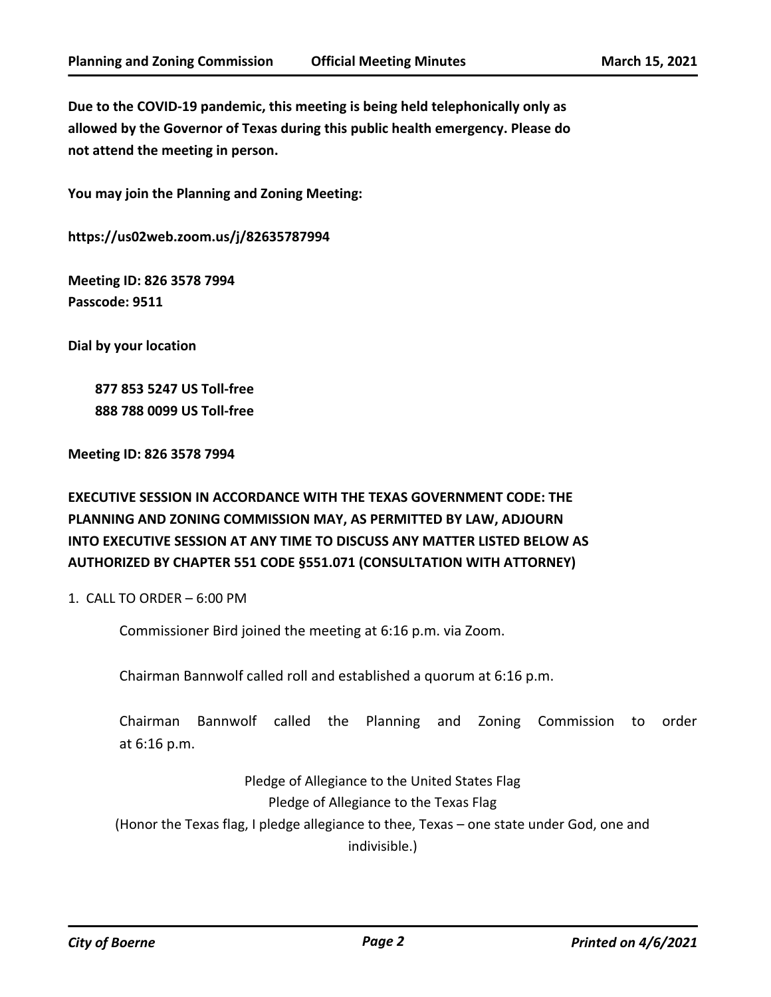**Due to the COVID-19 pandemic, this meeting is being held telephonically only as allowed by the Governor of Texas during this public health emergency. Please do not attend the meeting in person.**

**You may join the Planning and Zoning Meeting:**

**https://us02web.zoom.us/j/82635787994**

**Meeting ID: 826 3578 7994 Passcode: 9511**

**Dial by your location**

 **877 853 5247 US Toll-free 888 788 0099 US Toll-free**

**Meeting ID: 826 3578 7994**

## **EXECUTIVE SESSION IN ACCORDANCE WITH THE TEXAS GOVERNMENT CODE: THE PLANNING AND ZONING COMMISSION MAY, AS PERMITTED BY LAW, ADJOURN INTO EXECUTIVE SESSION AT ANY TIME TO DISCUSS ANY MATTER LISTED BELOW AS AUTHORIZED BY CHAPTER 551 CODE §551.071 (CONSULTATION WITH ATTORNEY)**

1. CALL TO ORDER – 6:00 PM

Commissioner Bird joined the meeting at 6:16 p.m. via Zoom.

Chairman Bannwolf called roll and established a quorum at 6:16 p.m.

Chairman Bannwolf called the Planning and Zoning Commission to order at 6:16 p.m.

Pledge of Allegiance to the United States Flag Pledge of Allegiance to the Texas Flag (Honor the Texas flag, I pledge allegiance to thee, Texas – one state under God, one and indivisible.)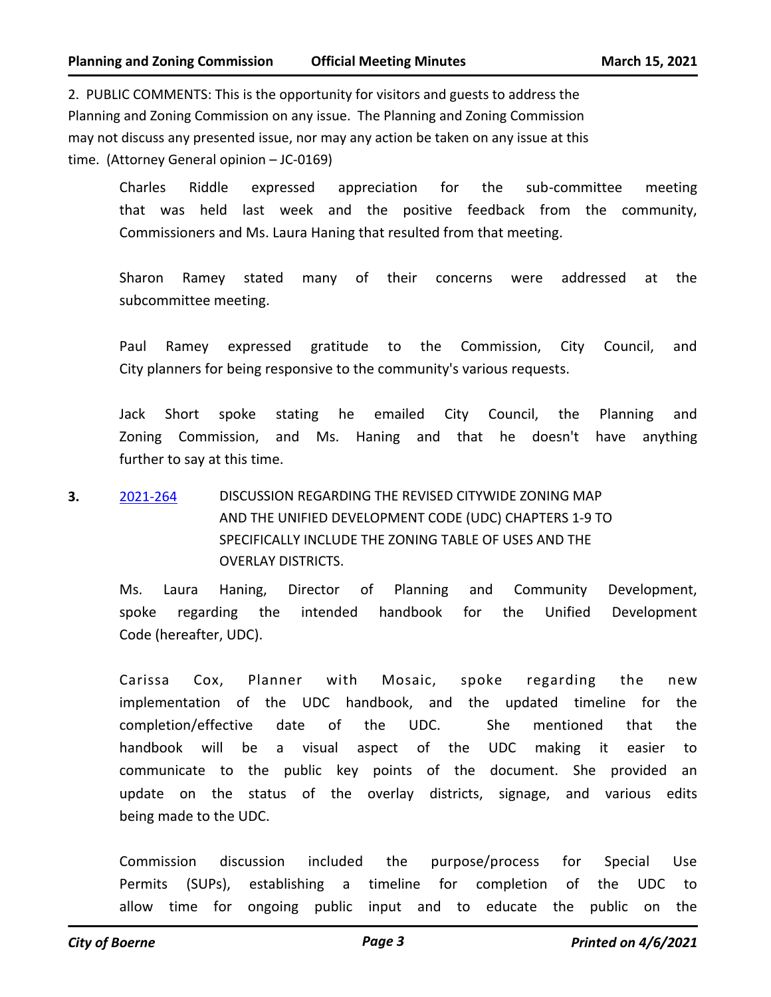2. PUBLIC COMMENTS: This is the opportunity for visitors and guests to address the Planning and Zoning Commission on any issue. The Planning and Zoning Commission may not discuss any presented issue, nor may any action be taken on any issue at this time. (Attorney General opinion – JC-0169)

Charles Riddle expressed appreciation for the sub-committee meeting that was held last week and the positive feedback from the community, Commissioners and Ms. Laura Haning that resulted from that meeting.

Sharon Ramey stated many of their concerns were addressed at the subcommittee meeting.

Paul Ramey expressed gratitude to the Commission, City Council, and City planners for being responsive to the community's various requests.

Jack Short spoke stating he emailed City Council, the Planning and Zoning Commission, and Ms. Haning and that he doesn't have anything further to say at this time.

### **3.** [2021-264](http://boerne.legistar.com/gateway.aspx?m=l&id=/matter.aspx?key=5817) DISCUSSION REGARDING THE REVISED CITYWIDE ZONING MAP AND THE UNIFIED DEVELOPMENT CODE (UDC) CHAPTERS 1-9 TO SPECIFICALLY INCLUDE THE ZONING TABLE OF USES AND THE OVERLAY DISTRICTS.

Ms. Laura Haning, Director of Planning and Community Development, spoke regarding the intended handbook for the Unified Development Code (hereafter, UDC).

Carissa Cox, Planner with Mosaic, spoke regarding the new implementation of the UDC handbook, and the updated timeline for the completion/effective date of the UDC. She mentioned that the handbook will be a visual aspect of the UDC making it easier to communicate to the public key points of the document. She provided an update on the status of the overlay districts, signage, and various edits being made to the UDC.

Commission discussion included the purpose/process for Special Use Permits (SUPs), establishing a timeline for completion of the UDC to allow time for ongoing public input and to educate the public on the